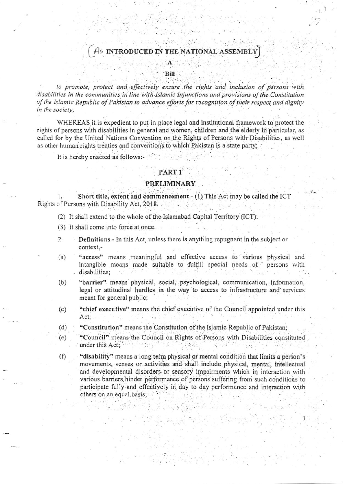# As INTRODUCED IN THE NATIONAL ASSEMBLY

to promote, protect and effectively ensure the rights and inclusion of persons with disabilities in the communities in line with Islamic Injunctions and provisions of the Constitution of the Islamic Republic of Pakistan to advance efforts for recognition of their respect and dignity in the society;

WHEREAS it is expedient to put in place legal and institutional framework to protect the rights of persons with disabilities in general and women, children and the elderly in particular, as called for by the United Nations Convention on the Rights of Persons with Disabilities, as well as other human rights treaties and conventions to which Pakistan is a state party;

It is hereby enacted as follows:-

## PART<sub>1</sub>

#### **PRELIMINARY**

Short title, extent and commencement. (1) This Act may be called the ICT  $\mathbf{1}$ Rights of Persons with Disability Act, 2018.

- (2) It shall extend to the whole of the Islamabad Capital Territory (ICT).
- (3) It shall come into force at once.
- Definitions.- In this Act, unless there is anything repugnant in the subject or  $2.$ context.-
- "access" means meaningful and effective access to various physical and  $(a)$ intangible means made suitable to fulfill special needs of persons with disabilities:
- $(b)$ "barrier" means physical, social, psychological, communication, information, legal or attitudinal hurdles in the way to access to infrastructure and services meant for general public;
- $(c)$ "chief executive" means the chief executive of the Council appointed under this Act:
- $(d)$ "Constitution" means the Constitution of the Islamic Republic of Pakistan;
- "Council" means the Council on Rights of Persons with Disabilities constituted  $(e)$ under this Act;
- "disability" means a long term physical or mental condition that limits a person's  $(f)$ movements, senses or activities and shall include physical, mental, intellectual and developmental disorders or sensory impairments which in interaction with various barriers hinder performance of persons suffering from such conditions to participate fully and effectively in day to day performance and interaction with others on an equal basis;